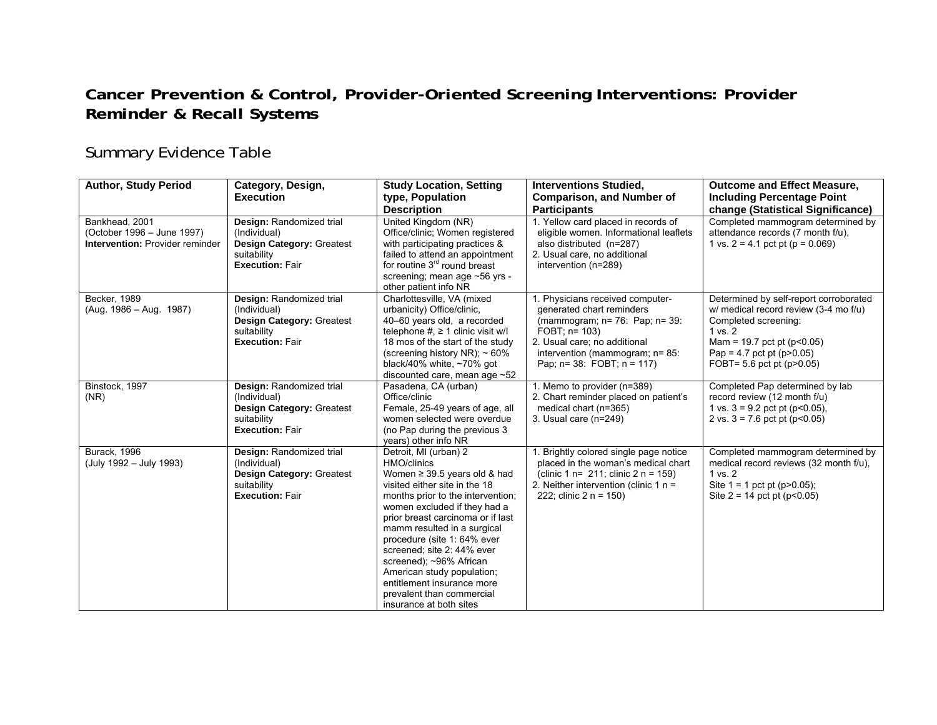## **Cancer Prevention & Control, Provider-Oriented Screening Interventions: Provider Reminder & Recall Systems**

## Summary Evidence Table

| <b>Author, Study Period</b>                                                            | Category, Design,<br><b>Execution</b>                                                                          | <b>Study Location, Setting</b><br>type, Population                                                                                                                                                                                                                                                                                                                                                                                                              | <b>Interventions Studied,</b><br><b>Comparison, and Number of</b>                                                                                                                                                               | <b>Outcome and Effect Measure,</b><br><b>Including Percentage Point</b>                                                                                                                                                            |
|----------------------------------------------------------------------------------------|----------------------------------------------------------------------------------------------------------------|-----------------------------------------------------------------------------------------------------------------------------------------------------------------------------------------------------------------------------------------------------------------------------------------------------------------------------------------------------------------------------------------------------------------------------------------------------------------|---------------------------------------------------------------------------------------------------------------------------------------------------------------------------------------------------------------------------------|------------------------------------------------------------------------------------------------------------------------------------------------------------------------------------------------------------------------------------|
| Bankhead, 2001<br>(October 1996 - June 1997)<br><b>Intervention: Provider reminder</b> | Design: Randomized trial<br>(Individual)<br>Design Category: Greatest<br>suitability<br><b>Execution: Fair</b> | <b>Description</b><br>United Kingdom (NR)<br>Office/clinic: Women registered<br>with participating practices &<br>failed to attend an appointment<br>for routine 3 <sup>rd</sup> round breast<br>screening; mean age ~56 yrs -<br>other patient info NR                                                                                                                                                                                                         | <b>Participants</b><br>1. Yellow card placed in records of<br>eligible women. Informational leaflets<br>also distributed (n=287)<br>2. Usual care, no additional<br>intervention (n=289)                                        | change (Statistical Significance)<br>Completed mammogram determined by<br>attendance records (7 month f/u).<br>1 vs. $2 = 4.1$ pct pt (p = 0.069)                                                                                  |
| Becker, 1989<br>(Aug. 1986 - Aug. 1987)                                                | Design: Randomized trial<br>(Individual)<br>Design Category: Greatest<br>suitability<br><b>Execution: Fair</b> | Charlottesville, VA (mixed<br>urbanicity) Office/clinic.<br>40-60 years old, a recorded<br>telephone #, $\geq$ 1 clinic visit w/l<br>18 mos of the start of the study<br>(screening history NR); $\sim 60\%$<br>black/40% white, $~1$ 70% got<br>discounted care, mean age $~52$                                                                                                                                                                                | 1. Physicians received computer-<br>generated chart reminders<br>(mammogram; n= 76: Pap; n= 39:<br>$FOBT$ ; $n = 103$ )<br>2. Usual care; no additional<br>intervention (mammogram; n= 85:<br>Pap; $n = 38$ : FOBT; $n = 117$ ) | Determined by self-report corroborated<br>w/ medical record review (3-4 mo f/u)<br>Completed screening:<br>1 vs. 2<br>Mam = $19.7$ pct pt ( $p < 0.05$ )<br>Pap = $4.7$ pct pt ( $p > 0.05$ )<br>FOBT= $5.6$ pct pt ( $p > 0.05$ ) |
| Binstock, 1997<br>(NR)                                                                 | Design: Randomized trial<br>(Individual)<br>Design Category: Greatest<br>suitability<br><b>Execution: Fair</b> | Pasadena, CA (urban)<br>Office/clinic<br>Female, 25-49 years of age, all<br>women selected were overdue<br>(no Pap during the previous 3<br>years) other info NR                                                                                                                                                                                                                                                                                                | 1. Memo to provider (n=389)<br>2. Chart reminder placed on patient's<br>medical chart (n=365)<br>3. Usual care (n=249)                                                                                                          | Completed Pap determined by lab<br>record review (12 month f/u)<br>1 vs. $3 = 9.2$ pct pt (p < 0.05),<br>2 vs. $3 = 7.6$ pct pt (p<0.05)                                                                                           |
| <b>Burack, 1996</b><br>(July 1992 - July 1993)                                         | Design: Randomized trial<br>(Individual)<br>Design Category: Greatest<br>suitability<br><b>Execution: Fair</b> | Detroit, MI (urban) 2<br>HMO/clinics<br>Women $\geq$ 39.5 years old & had<br>visited either site in the 18<br>months prior to the intervention;<br>women excluded if they had a<br>prior breast carcinoma or if last<br>mamm resulted in a surgical<br>procedure (site 1: 64% ever<br>screened; site 2: 44% ever<br>screened); ~96% African<br>American study population;<br>entitlement insurance more<br>prevalent than commercial<br>insurance at both sites | 1. Brightly colored single page notice<br>placed in the woman's medical chart<br>(clinic 1 n= $211$ ; clinic 2 n = $159$ )<br>2. Neither intervention (clinic 1 $n =$<br>222; clinic $2 n = 150$ )                              | Completed mammogram determined by<br>medical record reviews (32 month f/u).<br>1 vs. 2<br>Site $1 = 1$ pct pt (p>0.05);<br>Site $2 = 14$ pct pt (p<0.05)                                                                           |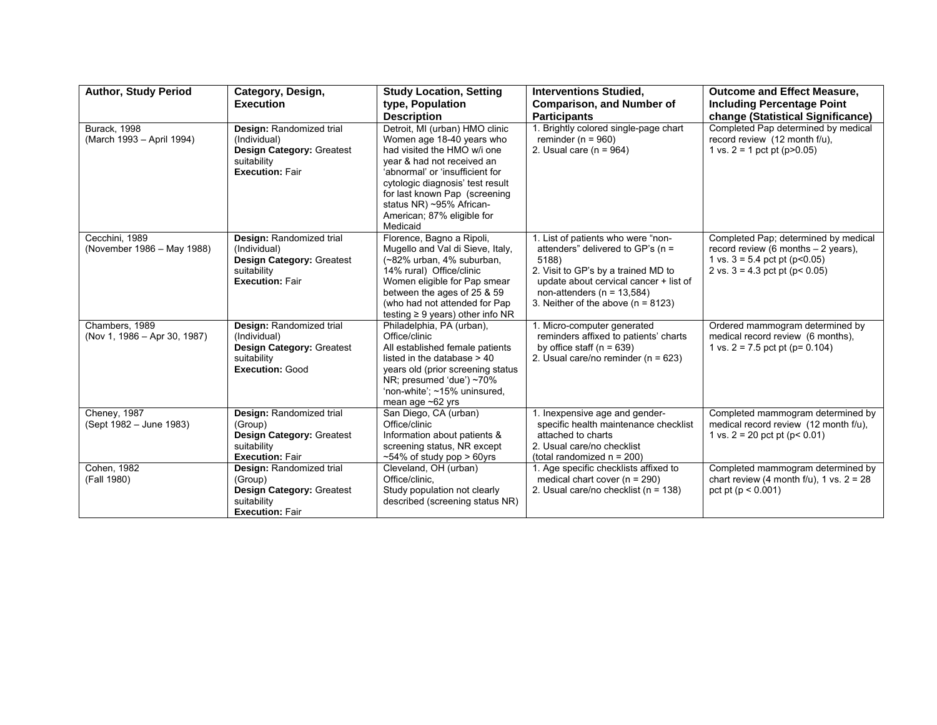| <b>Author, Study Period</b>                      | Category, Design,<br><b>Execution</b>                                                                                 | <b>Study Location, Setting</b><br>type, Population<br><b>Description</b>                                                                                                                                                                                                                               | <b>Interventions Studied,</b><br><b>Comparison, and Number of</b><br><b>Participants</b>                                                                                                                                                    | <b>Outcome and Effect Measure,</b><br><b>Including Percentage Point</b><br>change (Statistical Significance)                                             |
|--------------------------------------------------|-----------------------------------------------------------------------------------------------------------------------|--------------------------------------------------------------------------------------------------------------------------------------------------------------------------------------------------------------------------------------------------------------------------------------------------------|---------------------------------------------------------------------------------------------------------------------------------------------------------------------------------------------------------------------------------------------|----------------------------------------------------------------------------------------------------------------------------------------------------------|
| <b>Burack, 1998</b><br>(March 1993 - April 1994) | Design: Randomized trial<br>(Individual)<br><b>Design Category: Greatest</b><br>suitability<br><b>Execution: Fair</b> | Detroit, MI (urban) HMO clinic<br>Women age 18-40 years who<br>had visited the HMO w/i one<br>year & had not received an<br>'abnormal' or 'insufficient for<br>cytologic diagnosis' test result<br>for last known Pap (screening<br>status NR) ~95% African-<br>American; 87% eligible for<br>Medicaid | 1. Brightly colored single-page chart<br>reminder ( $n = 960$ )<br>2. Usual care $(n = 964)$                                                                                                                                                | Completed Pap determined by medical<br>record review (12 month f/u),<br>1 vs. $2 = 1$ pct pt (p>0.05)                                                    |
| Cecchini, 1989<br>(November 1986 - May 1988)     | Design: Randomized trial<br>(Individual)<br><b>Design Category: Greatest</b><br>suitability<br><b>Execution: Fair</b> | Florence, Bagno a Ripoli,<br>Mugello and Val di Sieve, Italy,<br>(~82% urban, 4% suburban,<br>14% rural) Office/clinic<br>Women eligible for Pap smear<br>between the ages of 25 & 59<br>(who had not attended for Pap<br>testing $\geq 9$ years) other info NR                                        | 1. List of patients who were "non-<br>attenders" delivered to GP's (n =<br>5188)<br>2. Visit to GP's by a trained MD to<br>update about cervical cancer + list of<br>non-attenders ( $n = 13,584$ )<br>3. Neither of the above $(n = 8123)$ | Completed Pap; determined by medical<br>record review (6 months $-2$ years),<br>1 vs. $3 = 5.4$ pct pt (p<0.05)<br>2 vs. $3 = 4.3$ pct pt ( $p < 0.05$ ) |
| Chambers, 1989<br>(Nov 1, 1986 - Apr 30, 1987)   | Design: Randomized trial<br>(Individual)<br><b>Design Category: Greatest</b><br>suitability<br><b>Execution: Good</b> | Philadelphia, PA (urban),<br>Office/clinic<br>All established female patients<br>listed in the database $> 40$<br>years old (prior screening status<br>NR; presumed 'due') ~70%<br>'non-white'; ~15% uninsured,<br>mean age $~62$ yrs                                                                  | 1. Micro-computer generated<br>reminders affixed to patients' charts<br>by office staff $(n = 639)$<br>2. Usual care/no reminder ( $n = 623$ )                                                                                              | Ordered mammogram determined by<br>medical record review (6 months).<br>1 vs. $2 = 7.5$ pct pt (p= 0.104)                                                |
| Cheney, 1987<br>(Sept 1982 – June 1983)          | Design: Randomized trial<br>(Group)<br><b>Design Category: Greatest</b><br>suitability<br><b>Execution: Fair</b>      | San Diego, CA (urban)<br>Office/clinic<br>Information about patients &<br>screening status, NR except<br>$~54\%$ of study pop $> 60$ yrs                                                                                                                                                               | 1. Inexpensive age and gender-<br>specific health maintenance checklist<br>attached to charts<br>2. Usual care/no checklist<br>(total randomized $n = 200$ )                                                                                | Completed mammogram determined by<br>medical record review (12 month f/u),<br>1 vs. $2 = 20$ pct pt (p< 0.01)                                            |
| Cohen, 1982<br>(Fall 1980)                       | Design: Randomized trial<br>(Group)<br>Design Category: Greatest<br>suitability<br><b>Execution: Fair</b>             | Cleveland, OH (urban)<br>Office/clinic,<br>Study population not clearly<br>described (screening status NR)                                                                                                                                                                                             | 1. Age specific checklists affixed to<br>medical chart cover $(n = 290)$<br>2. Usual care/no checklist (n = 138)                                                                                                                            | Completed mammogram determined by<br>chart review (4 month f/u), 1 vs. $2 = 28$<br>pct pt ( $p < 0.001$ )                                                |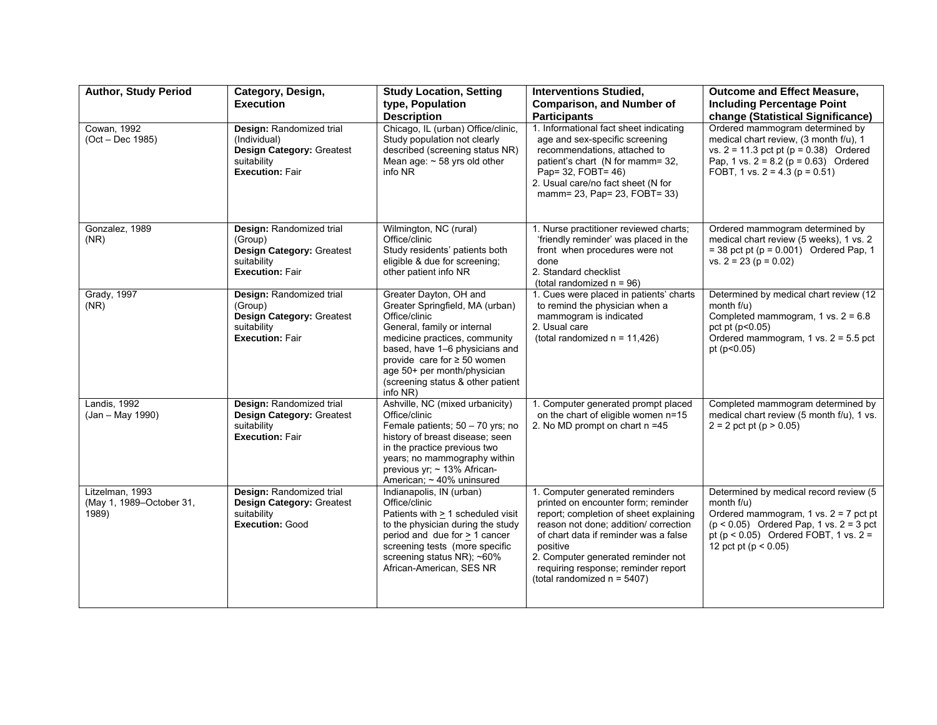| <b>Author, Study Period</b>                          | Category, Design,<br><b>Execution</b>                                                                            | <b>Study Location, Setting</b><br>type, Population<br><b>Description</b>                                                                                                                                                                                                                         | <b>Interventions Studied,</b><br><b>Comparison, and Number of</b><br><b>Participants</b>                                                                                                                                                                                                                                      | <b>Outcome and Effect Measure,</b><br><b>Including Percentage Point</b><br>change (Statistical Significance)                                                                                                               |
|------------------------------------------------------|------------------------------------------------------------------------------------------------------------------|--------------------------------------------------------------------------------------------------------------------------------------------------------------------------------------------------------------------------------------------------------------------------------------------------|-------------------------------------------------------------------------------------------------------------------------------------------------------------------------------------------------------------------------------------------------------------------------------------------------------------------------------|----------------------------------------------------------------------------------------------------------------------------------------------------------------------------------------------------------------------------|
| Cowan, 1992<br>(Oct - Dec 1985)                      | Design: Randomized trial<br>(Individual)<br>Design Category: Greatest<br>suitability<br><b>Execution: Fair</b>   | Chicago, IL (urban) Office/clinic,<br>Study population not clearly<br>described (screening status NR)<br>Mean age: $\sim$ 58 yrs old other<br>info NR                                                                                                                                            | 1. Informational fact sheet indicating<br>age and sex-specific screening<br>recommendations, attached to<br>patient's chart (N for mamm= 32,<br>Pap= 32, FOBT= 46)<br>2. Usual care/no fact sheet (N for<br>mamm= 23, Pap= 23, FOBT= 33)                                                                                      | Ordered mammogram determined by<br>medical chart review, (3 month f/u), 1<br>vs. $2 = 11.3$ pct pt ( $p = 0.38$ ) Ordered<br>Pap, 1 vs. $2 = 8.2$ (p = 0.63) Ordered<br>FOBT, 1 vs. $2 = 4.3$ (p = 0.51)                   |
| Gonzalez, 1989<br>(NR)                               | Design: Randomized trial<br>(Group)<br><b>Design Category: Greatest</b><br>suitability<br><b>Execution: Fair</b> | Wilmington, NC (rural)<br>Office/clinic<br>Study residents' patients both<br>eligible & due for screening;<br>other patient info NR                                                                                                                                                              | 1. Nurse practitioner reviewed charts;<br>'friendly reminder' was placed in the<br>front when procedures were not<br>done<br>2. Standard checklist<br>(total randomized $n = 96$ )                                                                                                                                            | Ordered mammogram determined by<br>medical chart review (5 weeks), 1 vs. 2<br>$=$ 38 pct pt (p = 0.001) Ordered Pap, 1<br>vs. $2 = 23$ ( $p = 0.02$ )                                                                      |
| <b>Grady</b> , 1997<br>(NR)                          | Design: Randomized trial<br>(Group)<br>Design Category: Greatest<br>suitability<br><b>Execution: Fair</b>        | Greater Dayton, OH and<br>Greater Springfield, MA (urban)<br>Office/clinic<br>General, family or internal<br>medicine practices, community<br>based, have 1-6 physicians and<br>provide care for $\geq$ 50 women<br>age 50+ per month/physician<br>(screening status & other patient<br>info NR) | 1. Cues were placed in patients' charts<br>to remind the physician when a<br>mammogram is indicated<br>2. Usual care<br>(total randomized $n = 11,426$ )                                                                                                                                                                      | Determined by medical chart review (12<br>month $f/u$ )<br>Completed mammogram, $1$ vs. $2 = 6.8$<br>pct pt $(p<0.05)$<br>Ordered mammogram, $1$ vs. $2 = 5.5$ pct<br>pt $(p<0.05)$                                        |
| Landis, 1992<br>(Jan - May 1990)                     | Design: Randomized trial<br><b>Design Category: Greatest</b><br>suitability<br><b>Execution: Fair</b>            | Ashville, NC (mixed urbanicity)<br>Office/clinic<br>Female patients; 50 - 70 yrs; no<br>history of breast disease; seen<br>in the practice previous two<br>years; no mammography within<br>previous yr; ~ 13% African-<br>American; ~ 40% uninsured                                              | 1. Computer generated prompt placed<br>on the chart of eligible women n=15<br>2. No MD prompt on chart n =45                                                                                                                                                                                                                  | Completed mammogram determined by<br>medical chart review (5 month f/u), 1 vs.<br>$2 = 2$ pct pt ( $p > 0.05$ )                                                                                                            |
| Litzelman, 1993<br>(May 1, 1989-October 31,<br>1989) | Design: Randomized trial<br><b>Design Category: Greatest</b><br>suitability<br><b>Execution: Good</b>            | Indianapolis, IN (urban)<br>Office/clinic<br>Patients with $\geq 1$ scheduled visit<br>to the physician during the study<br>period and due for > 1 cancer<br>screening tests (more specific<br>screening status NR); ~60%<br>African-American, SES NR                                            | 1. Computer generated reminders<br>printed on encounter form; reminder<br>report; completion of sheet explaining<br>reason not done; addition/ correction<br>of chart data if reminder was a false<br>positive<br>2. Computer generated reminder not<br>requiring response; reminder report<br>(total randomized $n = 5407$ ) | Determined by medical record review (5<br>month $f(u)$<br>Ordered mammogram, $1$ vs. $2 = 7$ pct pt<br>$(p < 0.05)$ Ordered Pap, 1 vs. $2 = 3$ pct<br>pt (p < $0.05$ ) Ordered FOBT, 1 vs. 2 =<br>12 pct pt ( $p < 0.05$ ) |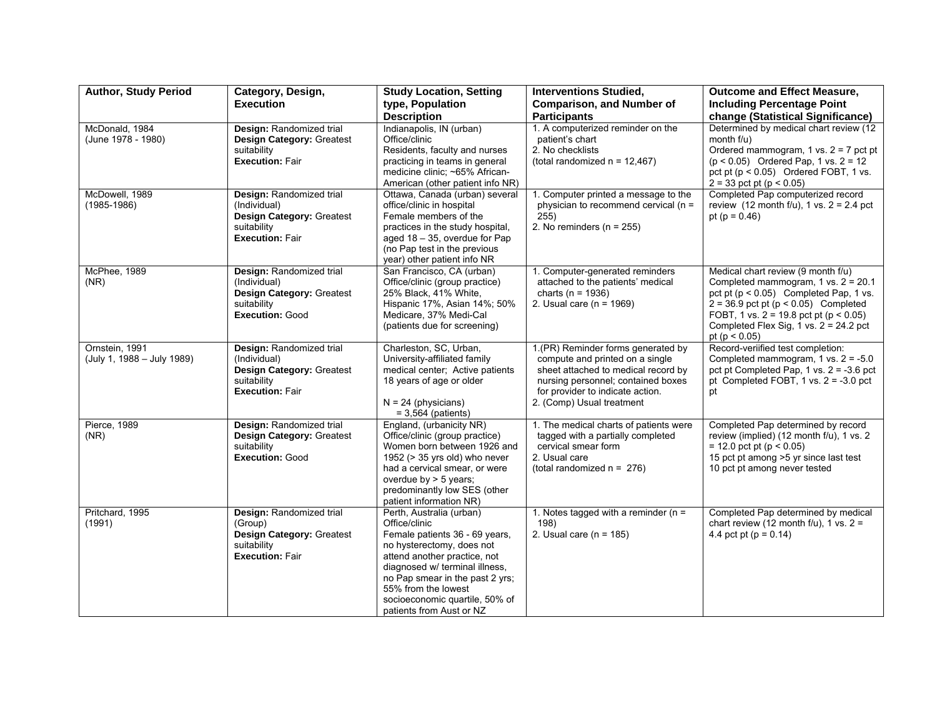| <b>Author, Study Period</b>                  | Category, Design,                                                                                              | <b>Study Location, Setting</b>                                                                                                                                                                                                                                                                     | <b>Interventions Studied,</b>                                                                                                                                                                                       | <b>Outcome and Effect Measure,</b>                                                                                                                                                                                                                                                                       |
|----------------------------------------------|----------------------------------------------------------------------------------------------------------------|----------------------------------------------------------------------------------------------------------------------------------------------------------------------------------------------------------------------------------------------------------------------------------------------------|---------------------------------------------------------------------------------------------------------------------------------------------------------------------------------------------------------------------|----------------------------------------------------------------------------------------------------------------------------------------------------------------------------------------------------------------------------------------------------------------------------------------------------------|
|                                              | <b>Execution</b>                                                                                               | type, Population                                                                                                                                                                                                                                                                                   | <b>Comparison, and Number of</b>                                                                                                                                                                                    | <b>Including Percentage Point</b>                                                                                                                                                                                                                                                                        |
|                                              |                                                                                                                | <b>Description</b>                                                                                                                                                                                                                                                                                 | <b>Participants</b>                                                                                                                                                                                                 | change (Statistical Significance)                                                                                                                                                                                                                                                                        |
| McDonald, 1984<br>(June 1978 - 1980)         | Design: Randomized trial<br><b>Design Category: Greatest</b><br>suitability<br><b>Execution: Fair</b>          | Indianapolis, IN (urban)<br>Office/clinic<br>Residents, faculty and nurses<br>practicing in teams in general<br>medicine clinic: ~65% African-<br>American (other patient info NR)                                                                                                                 | 1. A computerized reminder on the<br>patient's chart<br>2. No checklists<br>(total randomized $n = 12,467$ )                                                                                                        | Determined by medical chart review (12<br>month $f(u)$<br>Ordered mammogram, $1$ vs. $2 = 7$ pct pt<br>$(p < 0.05)$ Ordered Pap, 1 vs. 2 = 12<br>pct pt $(p < 0.05)$ Ordered FOBT, 1 vs.<br>$2 = 33$ pct pt (p < 0.05)                                                                                   |
| McDowell, 1989<br>$(1985 - 1986)$            | Design: Randomized trial<br>(Individual)<br>Design Category: Greatest<br>suitability<br><b>Execution: Fair</b> | Ottawa, Canada (urban) several<br>office/clinic in hospital<br>Female members of the<br>practices in the study hospital,<br>aged $18 - 35$ , overdue for Pap<br>(no Pap test in the previous<br>year) other patient info NR                                                                        | 1. Computer printed a message to the<br>physician to recommend cervical (n =<br>255)<br>2. No reminders ( $n = 255$ )                                                                                               | Completed Pap computerized record<br>review $(12 \text{ month } f/u)$ , 1 vs. $2 = 2.4 \text{ pct}$<br>pt ( $p = 0.46$ )                                                                                                                                                                                 |
| McPhee, 1989<br>(NR)                         | Design: Randomized trial<br>(Individual)<br>Design Category: Greatest<br>suitability<br><b>Execution: Good</b> | San Francisco, CA (urban)<br>Office/clinic (group practice)<br>25% Black, 41% White,<br>Hispanic 17%, Asian 14%; 50%<br>Medicare, 37% Medi-Cal<br>(patients due for screening)                                                                                                                     | 1. Computer-generated reminders<br>attached to the patients' medical<br>charts ( $n = 1936$ )<br>2. Usual care ( $n = 1969$ )                                                                                       | Medical chart review (9 month f/u)<br>Completed mammogram, $1$ vs. $2 = 20.1$<br>pct pt $(p < 0.05)$ Completed Pap, 1 vs.<br>$2 = 36.9$ pct pt ( $p < 0.05$ ) Completed<br>FOBT, 1 vs. $2 = 19.8$ pct pt ( $p < 0.05$ )<br>Completed Flex Sig, $1 \text{ vs. } 2 = 24.2 \text{ pc}$<br>pt ( $p < 0.05$ ) |
| Ornstein, 1991<br>(July 1, 1988 - July 1989) | Design: Randomized trial<br>(Individual)<br>Design Category: Greatest<br>suitability<br><b>Execution: Fair</b> | Charleston, SC, Urban,<br>University-affiliated family<br>medical center; Active patients<br>18 years of age or older<br>$N = 24$ (physicians)<br>$= 3,564$ (patients)                                                                                                                             | 1.(PR) Reminder forms generated by<br>compute and printed on a single<br>sheet attached to medical record by<br>nursing personnel; contained boxes<br>for provider to indicate action.<br>2. (Comp) Usual treatment | Record-veriified test completion:<br>Completed mammogram, $1 \text{ vs. } 2 = -5.0$<br>pct pt Completed Pap, 1 vs. $2 = -3.6$ pct<br>pt Completed FOBT, $1 \text{ vs. } 2 = -3.0 \text{ pc}$<br>pt                                                                                                       |
| Pierce, 1989<br>(NR)                         | Design: Randomized trial<br>Design Category: Greatest<br>suitability<br><b>Execution: Good</b>                 | England, (urbanicity NR)<br>Office/clinic (group practice)<br>Women born between 1926 and<br>1952 ( $>$ 35 yrs old) who never<br>had a cervical smear, or were<br>overdue by $>$ 5 years;<br>predominantly low SES (other<br>patient information NR)                                               | 1. The medical charts of patients were<br>tagged with a partially completed<br>cervical smear form<br>2. Usual care<br>(total randomized $n = 276$ )                                                                | Completed Pap determined by record<br>review (implied) (12 month f/u), 1 vs. 2<br>$= 12.0$ pct pt (p < 0.05)<br>15 pct pt among >5 yr since last test<br>10 pct pt among never tested                                                                                                                    |
| Pritchard, 1995<br>(1991)                    | Design: Randomized trial<br>(Group)<br>Design Category: Greatest<br>suitability<br><b>Execution: Fair</b>      | Perth, Australia (urban)<br>Office/clinic<br>Female patients 36 - 69 years,<br>no hysterectomy, does not<br>attend another practice, not<br>diagnosed w/ terminal illness,<br>no Pap smear in the past 2 yrs;<br>55% from the lowest<br>socioeconomic quartile, 50% of<br>patients from Aust or NZ | 1. Notes tagged with a reminder ( $n =$<br>198)<br>2. Usual care ( $n = 185$ )                                                                                                                                      | Completed Pap determined by medical<br>chart review (12 month $f/u$ ), 1 vs. 2 =<br>4.4 pct pt ( $p = 0.14$ )                                                                                                                                                                                            |